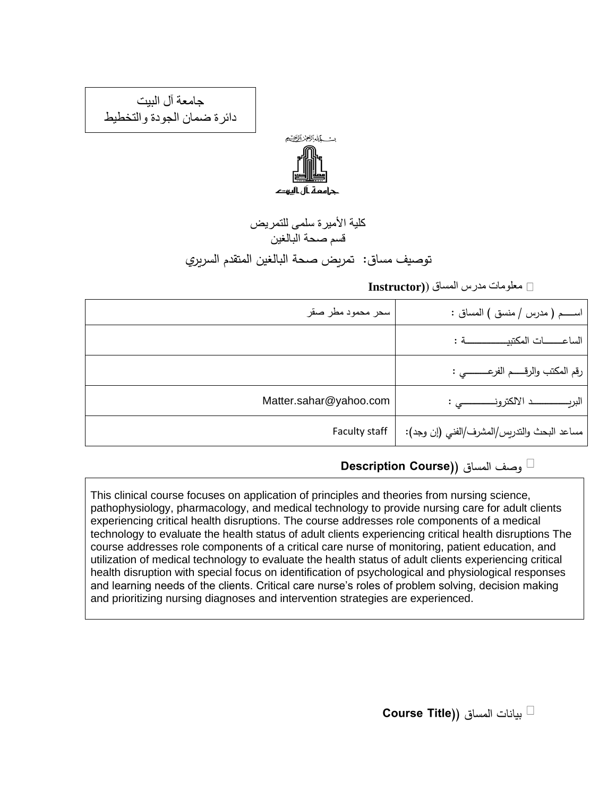جامعة آل البيت دائرة ضمان الجودة والتخطيط



كلية الأميرة سلمى للتمريض قسم صحة البالغين توصيف مساق: تمريض صحة البالغين المتقدم السريري

معلومات مدرس المساق )**(Instructor**

| سحر محمود مطر صقر      | اســــم ( مدرس / منسق ) المساق :            |
|------------------------|---------------------------------------------|
|                        | الساعـــــات المكتبيــــــــــــــــة :     |
|                        | رقم المكتب والرقـــــم الفرعــــــــــي :   |
| Matter.sahar@yahoo.com |                                             |
| Faculty staff          | مساعد البحث والتدريس/المشرف/الفني (إن وجد): |

وصف المساق )**(Course Description**

This clinical course focuses on application of principles and theories from nursing science, pathophysiology, pharmacology, and medical technology to provide nursing care for adult clients experiencing critical health disruptions. The course addresses role components of a medical technology to evaluate the health status of adult clients experiencing critical health disruptions The course addresses role components of a critical care nurse of monitoring, patient education, and utilization of medical technology to evaluate the health status of adult clients experiencing critical health disruption with special focus on identification of psychological and physiological responses and learning needs of the clients. Critical care nurse's roles of problem solving, decision making and prioritizing nursing diagnoses and intervention strategies are experienced.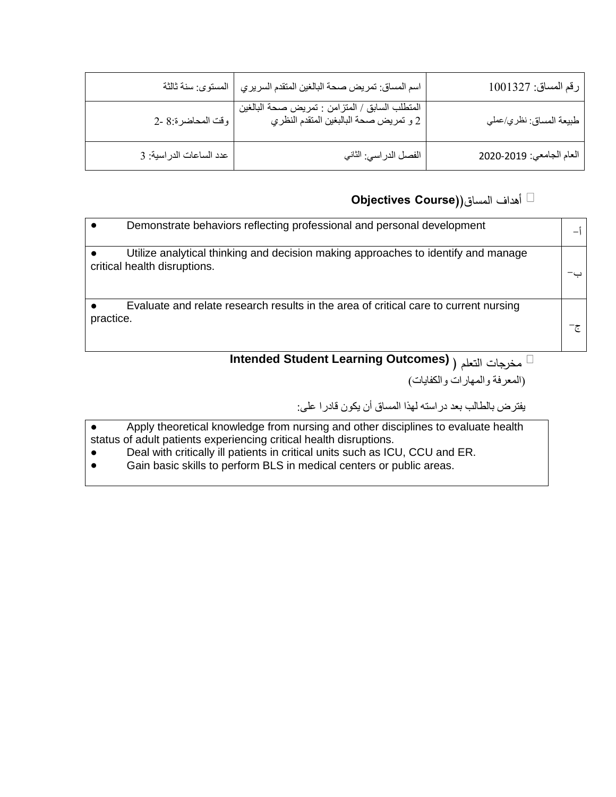| رقم المساق: 1001327      | اسم المساق: تمريض صحة البالغين المتقدم السريري                                           | المستوى: سنة ثالثة      |
|--------------------------|------------------------------------------------------------------------------------------|-------------------------|
| طبيعة المساق: نظري/عملي  | المنطلب السابق / المنزامن : نمريض صحة البالغين<br>2 و تمريض صحة البالبغين المتقدم النظري | وقت المحاضرة:8 -2       |
| العام الجامعي: 2020-2020 | الفصل الدر اسي: الثاني                                                                   | عدد الساعات الدراسية: 3 |

#### أهداف المساق)**(Course Objectives**

|           | Demonstrate behaviors reflecting professional and personal development                                            |  |
|-----------|-------------------------------------------------------------------------------------------------------------------|--|
|           | Utilize analytical thinking and decision making approaches to identify and manage<br>critical health disruptions. |  |
| practice. | Evaluate and relate research results in the area of critical care to current nursing                              |  |

### ( التعلم مخرجات **Intended Student Learning Outcomes)**

)المعرفة والمهارات والكفايات(

يفترض بالطالب بعد دراسته لهذا المساق أن يكون قادرا على:

- Apply theoretical knowledge from nursing and other disciplines to evaluate health status of adult patients experiencing critical health disruptions.
- Deal with critically ill patients in critical units such as ICU, CCU and ER.
- Gain basic skills to perform BLS in medical centers or public areas.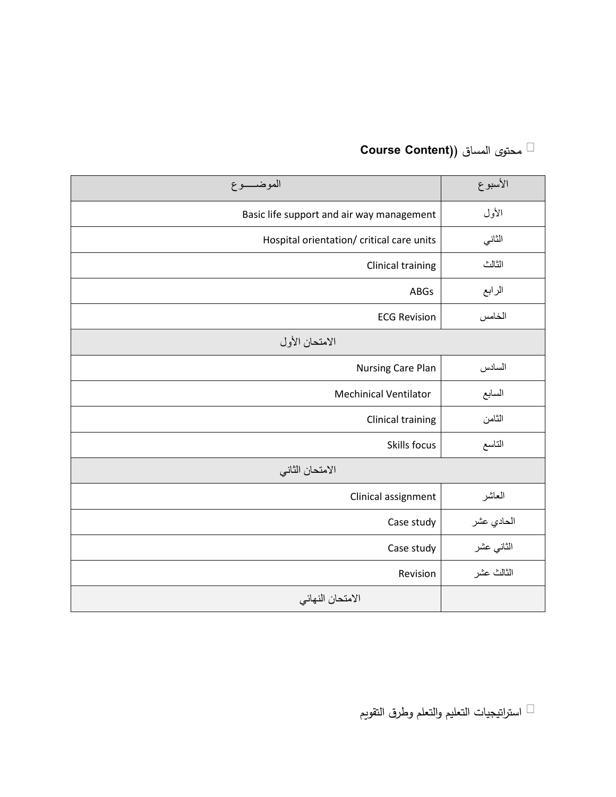| الموضـــــوع                              | الأسبوع    |
|-------------------------------------------|------------|
| Basic life support and air way management | الأول      |
| Hospital orientation/ critical care units | الثاني     |
| <b>Clinical training</b>                  | الثالث     |
| <b>ABGs</b>                               | الرابع     |
| <b>ECG Revision</b>                       | الخامس     |
| الامتحان الأول                            |            |
| Nursing Care Plan                         | السادس     |
| <b>Mechinical Ventilator</b>              | السابع     |
| Clinical training                         | الثامن     |
| Skills focus                              | التاسع     |
| الامتحان الثاني                           |            |
| Clinical assignment                       | العاشر     |
| Case study                                | الحادي عشر |
| Case study                                | الثاني عشر |
| Revision                                  | الثالث عشر |
| الامتحان النهائي                          |            |

# محتوى المساق )**(Content Course**

استراتيجيات التعليم والتعلم وطرق التقويم  $\Box$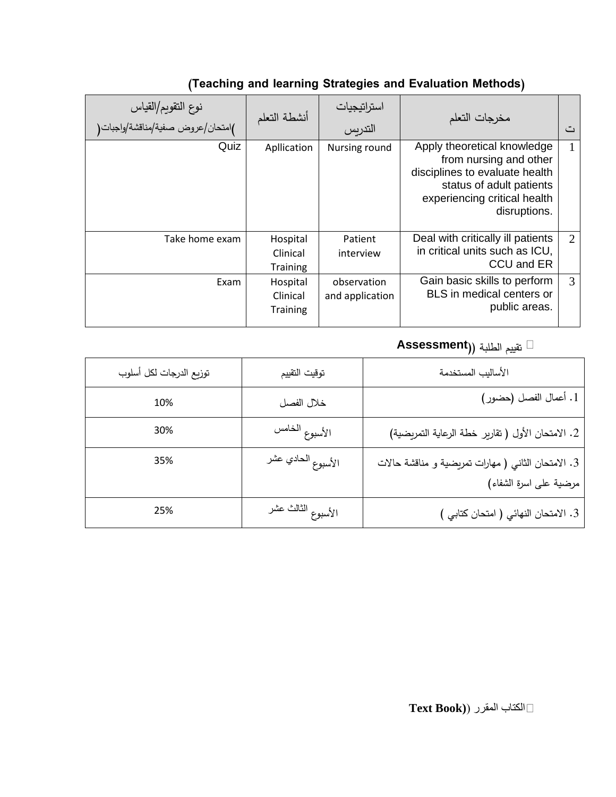| نوع التقويم/القياس<br>)امتحان/عروض صفية/مناقشة/واجبات( | أنشطة التعلم                            | استراتيجيات<br>التدريس         | مخرجات التعلم                                                                                                                                                       | ٽ |
|--------------------------------------------------------|-----------------------------------------|--------------------------------|---------------------------------------------------------------------------------------------------------------------------------------------------------------------|---|
| Quiz                                                   | Apllication                             | Nursing round                  | Apply theoretical knowledge<br>from nursing and other<br>disciplines to evaluate health<br>status of adult patients<br>experiencing critical health<br>disruptions. | 1 |
| Take home exam                                         | Hospital<br>Clinical<br>Training        | Patient<br>interview           | Deal with critically ill patients<br>in critical units such as ICU,<br>CCU and ER                                                                                   | 2 |
| Exam                                                   | Hospital<br>Clinical<br><b>Training</b> | observation<br>and application | Gain basic skills to perform<br>BLS in medical centers or<br>public areas.                                                                                          | 3 |

### **(Teaching and learning Strategies and Evaluation Methods)**

### تقييم الطلبة )**(Assessment**

| توزيع الدرجات لكل أسلوب | توقيت التقييم      | الأساليب المستخدمة                                                           |
|-------------------------|--------------------|------------------------------------------------------------------------------|
| 10%                     | خلال الفصل         | 1. أعمال الفصل (حضور)                                                        |
| 30%                     | الأسبوع الخامس     | 2. الامتحان الأول (تقارير خطة الرعاية التمريضية)                             |
| 35%                     | الأسبوع الحادي عشر | 3. الامتحان الثاني ( مهارات تمريضية و مناقشة حالات<br>مرضية على اسرة الشفاء) |
| 25%                     | الأسبوع الثالث عشر | 3. الامتحان النهائي (امتحان كتابي )                                          |